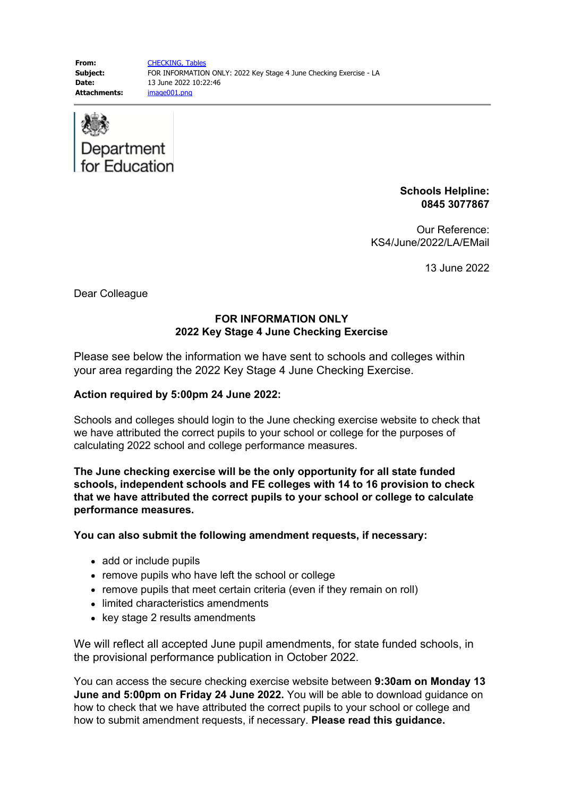

# **Schools Helpline: 0845 3077867**

Our Reference: KS4/June/2022/LA/EMail

13 June 2022

Dear Colleague

## **FOR INFORMATION ONLY 2022 Key Stage 4 June Checking Exercise**

Please see below the information we have sent to schools and colleges within your area regarding the 2022 Key Stage 4 June Checking Exercise.

## **Action required by 5:00pm 24 June 2022:**

Schools and colleges should login to the June checking exercise website to check that we have attributed the correct pupils to your school or college for the purposes of calculating 2022 school and college performance measures.

**The June checking exercise will be the only opportunity for all state funded schools, independent schools and FE colleges with 14 to 16 provision to check that we have attributed the correct pupils to your school or college to calculate performance measures.**

**You can also submit the following amendment requests, if necessary:**

- add or include pupils
- remove pupils who have left the school or college
- remove pupils that meet certain criteria (even if they remain on roll)
- limited characteristics amendments
- key stage 2 results amendments

We will reflect all accepted June pupil amendments, for state funded schools, in the provisional performance publication in October 2022.

You can access the secure checking exercise website between **9:30am on Monday 13 June and 5:00pm on Friday 24 June 2022.** You will be able to download guidance on how to check that we have attributed the correct pupils to your school or college and how to submit amendment requests, if necessary. **Please read this guidance.**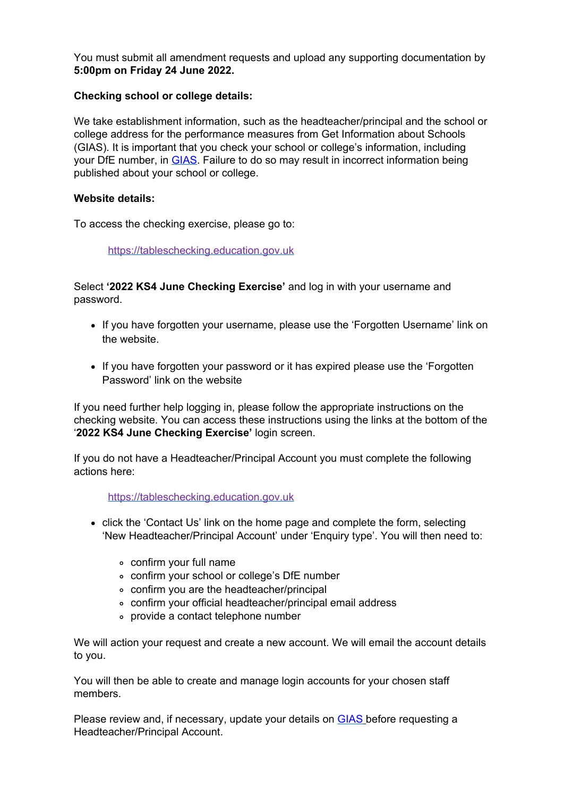You must submit all amendment requests and upload any supporting documentation by **5:00pm on Friday 24 June 2022.**

## **Checking school or college details:**

We take establishment information, such as the headteacher/principal and the school or college address for the performance measures from Get Information about Schools (GIAS). It is important that you check your school or college's information, including your DfE number, in [GIAS](https://protect-eu.mimecast.com/s/DnoDCj275UglnqxtWtTd8?domain=get-information-schools.service.gov.uk/). Failure to do so may result in incorrect information being published about your school or college.

#### **Website details:**

To access the checking exercise, please go to:

[https://tableschecking.education.gov.uk](https://protect-eu.mimecast.com/s/M6I9Ck59BcgYOQJtVTgOQ?domain=tableschecking.education.gov.uk)

Select **'2022 KS4 June Checking Exercise'** and log in with your username and password.

- If you have forgotten your username, please use the 'Forgotten Username' link on the website.
- If you have forgotten your password or it has expired please use the 'Forgotten' Password' link on the website

If you need further help logging in, please follow the appropriate instructions on the checking website. You can access these instructions using the links at the bottom of the '**2022 KS4 June Checking Exercise'** login screen.

If you do not have a Headteacher/Principal Account you must complete the following actions here:

[https://tableschecking.education.gov.uk](https://protect-eu.mimecast.com/s/M6I9Ck59BcgYOQJtVTgOQ?domain=tableschecking.education.gov.uk)

- click the 'Contact Us' link on the home page and complete the form, selecting 'New Headteacher/Principal Account' under 'Enquiry type'. You will then need to:
	- confirm your full name
	- confirm your school or college's DfE number
	- confirm you are the headteacher/principal
	- confirm your official headteacher/principal email address
	- provide a contact telephone number

We will action your request and create a new account. We will email the account details to you.

You will then be able to create and manage login accounts for your chosen staff members.

Please review and, if necessary, update your details on **GIAS** before requesting a Headteacher/Principal Account.